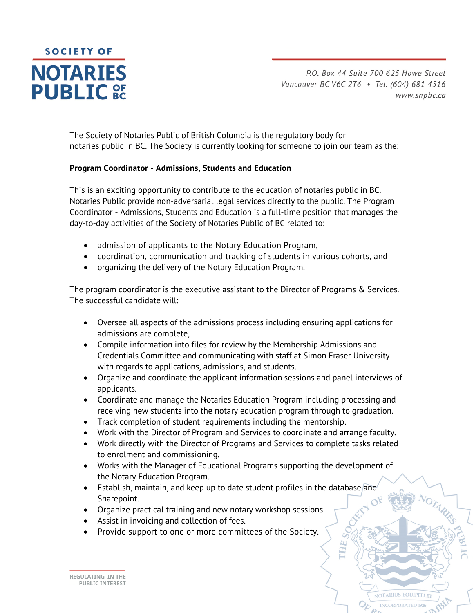

P.O. Box 44 Suite 700 625 Howe Street Vancouver BC V6C 2T6 · Tel. (604) 681 4516 www.snpbc.ca

**IOTARIUS EQUIPELLE** 

The Society of Notaries Public of British Columbia is the regulatory body for notaries public in BC. The Society is currently looking for someone to join our team as the:

## **Program Coordinator - Admissions, Students and Education**

This is an exciting opportunity to contribute to the education of notaries public in BC. Notaries Public provide non-adversarial legal services directly to the public. The Program Coordinator - Admissions, Students and Education is a full-time position that manages the day-to-day activities of the Society of Notaries Public of BC related to:

- admission of applicants to the Notary Education Program,
- coordination, communication and tracking of students in various cohorts, and
- organizing the delivery of the Notary Education Program.

The program coordinator is the executive assistant to the Director of Programs & Services. The successful candidate will:

- Oversee all aspects of the admissions process including ensuring applications for admissions are complete,
- Compile information into files for review by the Membership Admissions and Credentials Committee and communicating with staff at Simon Fraser University with regards to applications, admissions, and students.
- Organize and coordinate the applicant information sessions and panel interviews of applicants.
- Coordinate and manage the Notaries Education Program including processing and receiving new students into the notary education program through to graduation.
- Track completion of student requirements including the mentorship.
- Work with the Director of Program and Services to coordinate and arrange faculty.
- Work directly with the Director of Programs and Services to complete tasks related to enrolment and commissioning.
- Works with the Manager of Educational Programs supporting the development of the Notary Education Program.
- Establish, maintain, and keep up to date student profiles in the database and Sharepoint.
- Organize practical training and new notary workshop sessions.
- Assist in invoicing and collection of fees.
- Provide support to one or more committees of the Society.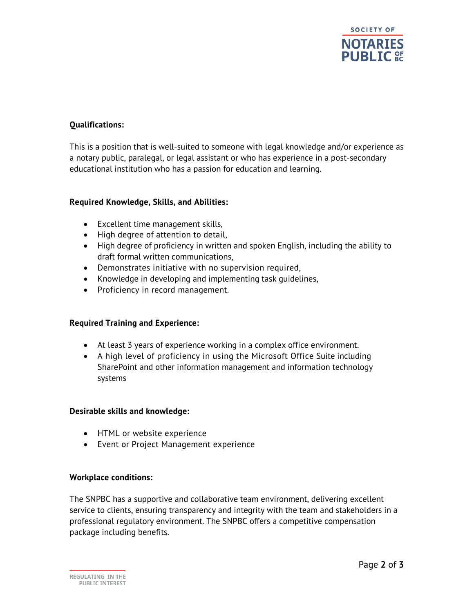

# **Qualifications:**

This is a position that is well-suited to someone with legal knowledge and/or experience as a notary public, paralegal, or legal assistant or who has experience in a post-secondary educational institution who has a passion for education and learning.

### **Required Knowledge, Skills, and Abilities:**

- Excellent time management skills,
- High degree of attention to detail,
- High degree of proficiency in written and spoken English, including the ability to draft formal written communications,
- Demonstrates initiative with no supervision required,
- Knowledge in developing and implementing task quidelines,
- Proficiency in record management.

## **Required Training and Experience:**

- At least 3 years of experience working in a complex office environment.
- A high level of proficiency in using the Microsoft Office Suite including SharePoint and other information management and information technology systems

#### **Desirable skills and knowledge:**

- HTML or website experience
- Event or Project Management experience

#### **Workplace conditions:**

The SNPBC has a supportive and collaborative team environment, delivering excellent service to clients, ensuring transparency and integrity with the team and stakeholders in a professional regulatory environment. The SNPBC offers a competitive compensation package including benefits.